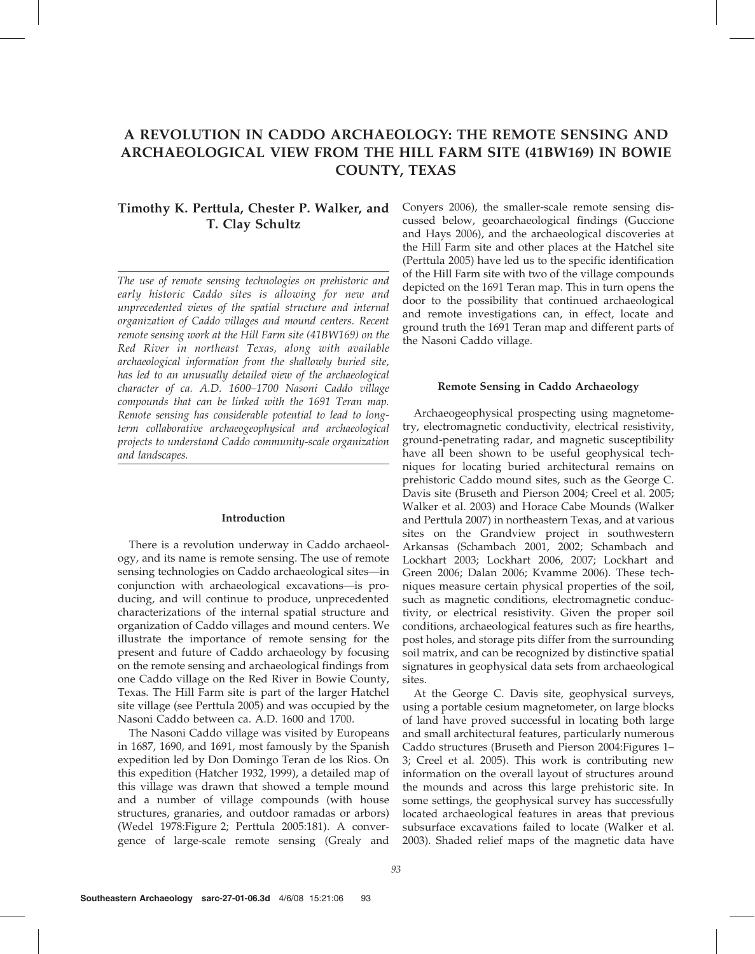# A REVOLUTION IN CADDO ARCHAEOLOGY: THE REMOTE SENSING AND ARCHAEOLOGICAL VIEW FROM THE HILL FARM SITE (41BW169) IN BOWIE COUNTY, TEXAS

# Timothy K. Perttula, Chester P. Walker, and T. Clay Schultz

The use of remote sensing technologies on prehistoric and early historic Caddo sites is allowing for new and unprecedented views of the spatial structure and internal organization of Caddo villages and mound centers. Recent remote sensing work at the Hill Farm site (41BW169) on the Red River in northeast Texas, along with available archaeological information from the shallowly buried site, has led to an unusually detailed view of the archaeological character of ca. A.D. 1600–1700 Nasoni Caddo village compounds that can be linked with the 1691 Teran map. Remote sensing has considerable potential to lead to longterm collaborative archaeogeophysical and archaeological projects to understand Caddo community-scale organization and landscapes.

#### Introduction

There is a revolution underway in Caddo archaeology, and its name is remote sensing. The use of remote sensing technologies on Caddo archaeological sites—in conjunction with archaeological excavations—is producing, and will continue to produce, unprecedented characterizations of the internal spatial structure and organization of Caddo villages and mound centers. We illustrate the importance of remote sensing for the present and future of Caddo archaeology by focusing on the remote sensing and archaeological findings from one Caddo village on the Red River in Bowie County, Texas. The Hill Farm site is part of the larger Hatchel site village (see Perttula 2005) and was occupied by the Nasoni Caddo between ca. A.D. 1600 and 1700.

The Nasoni Caddo village was visited by Europeans in 1687, 1690, and 1691, most famously by the Spanish expedition led by Don Domingo Teran de los Rios. On this expedition (Hatcher 1932, 1999), a detailed map of this village was drawn that showed a temple mound and a number of village compounds (with house structures, granaries, and outdoor ramadas or arbors) (Wedel 1978:Figure 2; Perttula 2005:181). A convergence of large-scale remote sensing (Grealy and

Conyers 2006), the smaller-scale remote sensing discussed below, geoarchaeological findings (Guccione and Hays 2006), and the archaeological discoveries at the Hill Farm site and other places at the Hatchel site (Perttula 2005) have led us to the specific identification of the Hill Farm site with two of the village compounds depicted on the 1691 Teran map. This in turn opens the door to the possibility that continued archaeological and remote investigations can, in effect, locate and ground truth the 1691 Teran map and different parts of the Nasoni Caddo village.

### Remote Sensing in Caddo Archaeology

Archaeogeophysical prospecting using magnetometry, electromagnetic conductivity, electrical resistivity, ground-penetrating radar, and magnetic susceptibility have all been shown to be useful geophysical techniques for locating buried architectural remains on prehistoric Caddo mound sites, such as the George C. Davis site (Bruseth and Pierson 2004; Creel et al. 2005; Walker et al. 2003) and Horace Cabe Mounds (Walker and Perttula 2007) in northeastern Texas, and at various sites on the Grandview project in southwestern Arkansas (Schambach 2001, 2002; Schambach and Lockhart 2003; Lockhart 2006, 2007; Lockhart and Green 2006; Dalan 2006; Kvamme 2006). These techniques measure certain physical properties of the soil, such as magnetic conditions, electromagnetic conductivity, or electrical resistivity. Given the proper soil conditions, archaeological features such as fire hearths, post holes, and storage pits differ from the surrounding soil matrix, and can be recognized by distinctive spatial signatures in geophysical data sets from archaeological sites.

At the George C. Davis site, geophysical surveys, using a portable cesium magnetometer, on large blocks of land have proved successful in locating both large and small architectural features, particularly numerous Caddo structures (Bruseth and Pierson 2004:Figures 1– 3; Creel et al. 2005). This work is contributing new information on the overall layout of structures around the mounds and across this large prehistoric site. In some settings, the geophysical survey has successfully located archaeological features in areas that previous subsurface excavations failed to locate (Walker et al. 2003). Shaded relief maps of the magnetic data have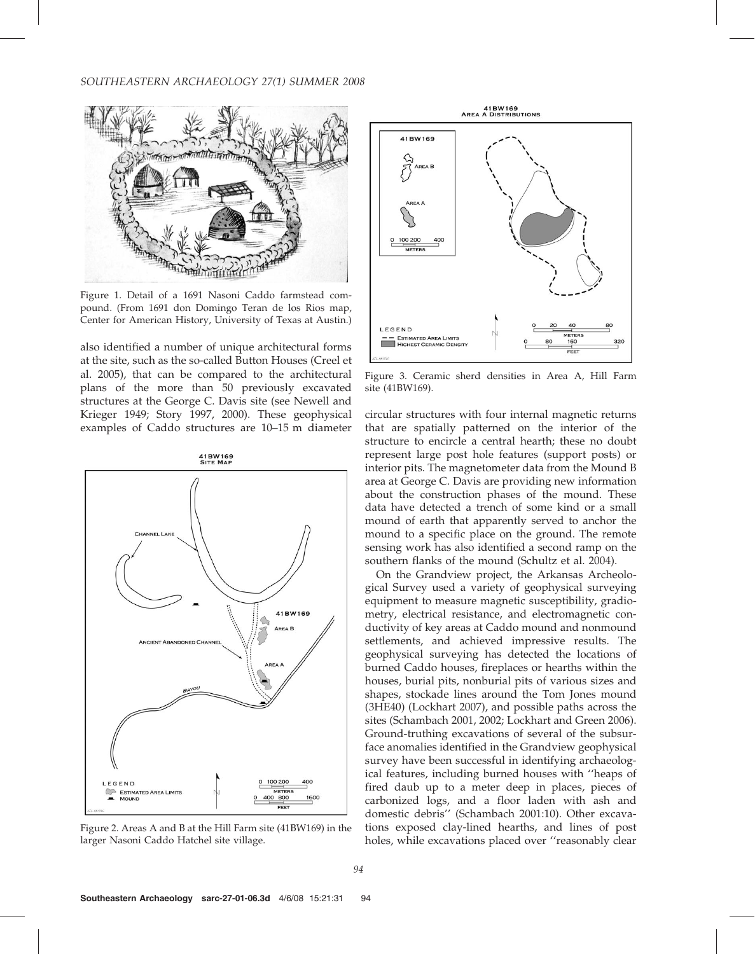## SOUTHEASTERN ARCHAEOLOGY 27(1) SUMMER 2008



Figure 1. Detail of a 1691 Nasoni Caddo farmstead compound. (From 1691 don Domingo Teran de los Rios map, Center for American History, University of Texas at Austin.)

also identified a number of unique architectural forms at the site, such as the so-called Button Houses (Creel et al. 2005), that can be compared to the architectural plans of the more than 50 previously excavated structures at the George C. Davis site (see Newell and Krieger 1949; Story 1997, 2000). These geophysical examples of Caddo structures are 10–15 m diameter



Figure 2. Areas A and B at the Hill Farm site (41BW169) in the larger Nasoni Caddo Hatchel site village.



Figure 3. Ceramic sherd densities in Area A, Hill Farm site (41BW169).

circular structures with four internal magnetic returns that are spatially patterned on the interior of the structure to encircle a central hearth; these no doubt represent large post hole features (support posts) or interior pits. The magnetometer data from the Mound B area at George C. Davis are providing new information about the construction phases of the mound. These data have detected a trench of some kind or a small mound of earth that apparently served to anchor the mound to a specific place on the ground. The remote sensing work has also identified a second ramp on the southern flanks of the mound (Schultz et al. 2004).

On the Grandview project, the Arkansas Archeological Survey used a variety of geophysical surveying equipment to measure magnetic susceptibility, gradiometry, electrical resistance, and electromagnetic conductivity of key areas at Caddo mound and nonmound settlements, and achieved impressive results. The geophysical surveying has detected the locations of burned Caddo houses, fireplaces or hearths within the houses, burial pits, nonburial pits of various sizes and shapes, stockade lines around the Tom Jones mound (3HE40) (Lockhart 2007), and possible paths across the sites (Schambach 2001, 2002; Lockhart and Green 2006). Ground-truthing excavations of several of the subsurface anomalies identified in the Grandview geophysical survey have been successful in identifying archaeological features, including burned houses with ''heaps of fired daub up to a meter deep in places, pieces of carbonized logs, and a floor laden with ash and domestic debris'' (Schambach 2001:10). Other excavations exposed clay-lined hearths, and lines of post holes, while excavations placed over ''reasonably clear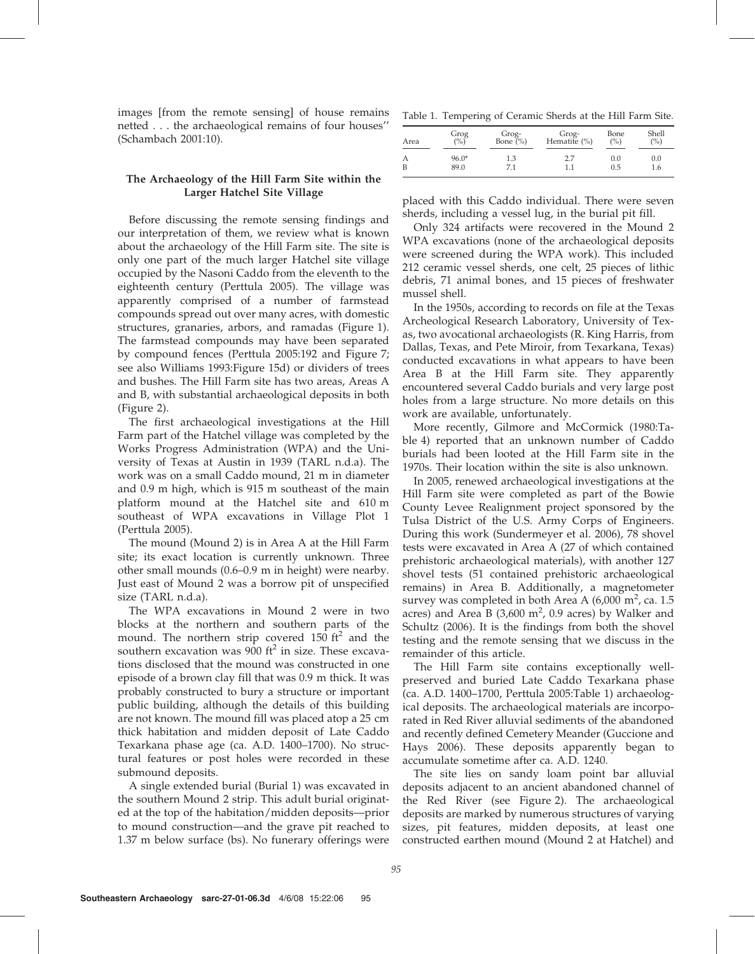images [from the remote sensing] of house remains netted . . . the archaeological remains of four houses'' (Schambach 2001:10).

# The Archaeology of the Hill Farm Site within the Larger Hatchel Site Village

Before discussing the remote sensing findings and our interpretation of them, we review what is known about the archaeology of the Hill Farm site. The site is only one part of the much larger Hatchel site village occupied by the Nasoni Caddo from the eleventh to the eighteenth century (Perttula 2005). The village was apparently comprised of a number of farmstead compounds spread out over many acres, with domestic structures, granaries, arbors, and ramadas (Figure 1). The farmstead compounds may have been separated by compound fences (Perttula 2005:192 and Figure 7; see also Williams 1993:Figure 15d) or dividers of trees and bushes. The Hill Farm site has two areas, Areas A and B, with substantial archaeological deposits in both (Figure 2).

The first archaeological investigations at the Hill Farm part of the Hatchel village was completed by the Works Progress Administration (WPA) and the University of Texas at Austin in 1939 (TARL n.d.a). The work was on a small Caddo mound, 21 m in diameter and 0.9 m high, which is 915 m southeast of the main platform mound at the Hatchel site and 610 m southeast of WPA excavations in Village Plot 1 (Perttula 2005).

The mound (Mound 2) is in Area A at the Hill Farm site; its exact location is currently unknown. Three other small mounds (0.6–0.9 m in height) were nearby. Just east of Mound 2 was a borrow pit of unspecified size (TARL n.d.a).

The WPA excavations in Mound 2 were in two blocks at the northern and southern parts of the mound. The northern strip covered  $150 \text{ ft}^2$  and the southern excavation was 900  $ft^2$  in size. These excavations disclosed that the mound was constructed in one episode of a brown clay fill that was 0.9 m thick. It was probably constructed to bury a structure or important public building, although the details of this building are not known. The mound fill was placed atop a 25 cm thick habitation and midden deposit of Late Caddo Texarkana phase age (ca. A.D. 1400–1700). No structural features or post holes were recorded in these submound deposits.

A single extended burial (Burial 1) was excavated in the southern Mound 2 strip. This adult burial originated at the top of the habitation/midden deposits—prior to mound construction—and the grave pit reached to 1.37 m below surface (bs). No funerary offerings were

Table 1. Tempering of Ceramic Sherds at the Hill Farm Site.

| Area           | Grog<br>(%) | Grog-<br>Bone (%) | Grog-<br>Hematite (%) | Bone<br>$($ %) | Shell<br>$($ %) |
|----------------|-------------|-------------------|-----------------------|----------------|-----------------|
| А              | $96.0*$     | 1.3               | 2.7                   | 0.0            | 0.0             |
| $\overline{B}$ | 89.0        | 71                | 1.1                   | 0.5            | 1.6             |

placed with this Caddo individual. There were seven sherds, including a vessel lug, in the burial pit fill.

Only 324 artifacts were recovered in the Mound 2 WPA excavations (none of the archaeological deposits were screened during the WPA work). This included 212 ceramic vessel sherds, one celt, 25 pieces of lithic debris, 71 animal bones, and 15 pieces of freshwater mussel shell.

In the 1950s, according to records on file at the Texas Archeological Research Laboratory, University of Texas, two avocational archaeologists (R. King Harris, from Dallas, Texas, and Pete Miroir, from Texarkana, Texas) conducted excavations in what appears to have been Area B at the Hill Farm site. They apparently encountered several Caddo burials and very large post holes from a large structure. No more details on this work are available, unfortunately.

More recently, Gilmore and McCormick (1980:Table 4) reported that an unknown number of Caddo burials had been looted at the Hill Farm site in the 1970s. Their location within the site is also unknown.

In 2005, renewed archaeological investigations at the Hill Farm site were completed as part of the Bowie County Levee Realignment project sponsored by the Tulsa District of the U.S. Army Corps of Engineers. During this work (Sundermeyer et al. 2006), 78 shovel tests were excavated in Area A (27 of which contained prehistoric archaeological materials), with another 127 shovel tests (51 contained prehistoric archaeological remains) in Area B. Additionally, a magnetometer survey was completed in both Area A  $(6,000 \text{ m}^2, \text{ca. } 1.5)$ acres) and Area B  $(3,600 \text{ m}^2, 0.9 \text{ acres})$  by Walker and Schultz (2006). It is the findings from both the shovel testing and the remote sensing that we discuss in the remainder of this article.

The Hill Farm site contains exceptionally wellpreserved and buried Late Caddo Texarkana phase (ca. A.D. 1400–1700, Perttula 2005:Table 1) archaeological deposits. The archaeological materials are incorporated in Red River alluvial sediments of the abandoned and recently defined Cemetery Meander (Guccione and Hays 2006). These deposits apparently began to accumulate sometime after ca. A.D. 1240.

The site lies on sandy loam point bar alluvial deposits adjacent to an ancient abandoned channel of the Red River (see Figure 2). The archaeological deposits are marked by numerous structures of varying sizes, pit features, midden deposits, at least one constructed earthen mound (Mound 2 at Hatchel) and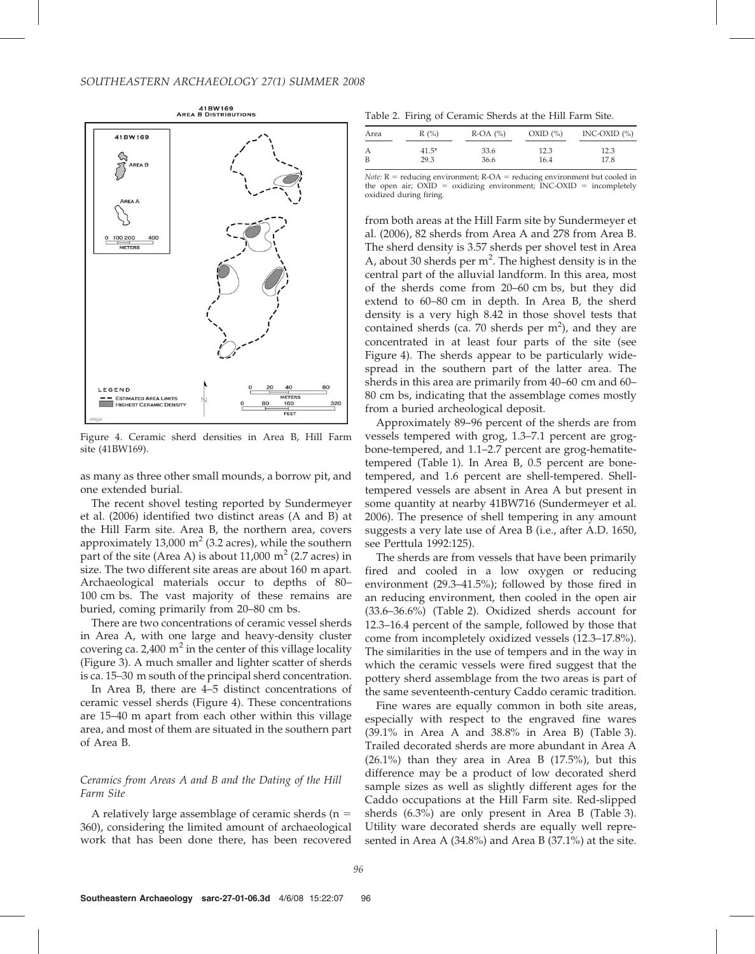

Figure 4. Ceramic sherd densities in Area B, Hill Farm site (41BW169).

as many as three other small mounds, a borrow pit, and one extended burial.

The recent shovel testing reported by Sundermeyer et al. (2006) identified two distinct areas (A and B) at the Hill Farm site. Area B, the northern area, covers approximately 13,000  $m^2$  (3.2 acres), while the southern part of the site (Area A) is about 11,000  $m^2$  (2.7 acres) in size. The two different site areas are about 160 m apart. Archaeological materials occur to depths of 80– 100 cm bs. The vast majority of these remains are buried, coming primarily from 20–80 cm bs.

There are two concentrations of ceramic vessel sherds in Area A, with one large and heavy-density cluster covering ca. 2,400  $m^2$  in the center of this village locality (Figure 3). A much smaller and lighter scatter of sherds is ca. 15–30 m south of the principal sherd concentration.

In Area B, there are 4–5 distinct concentrations of ceramic vessel sherds (Figure 4). These concentrations are 15–40 m apart from each other within this village area, and most of them are situated in the southern part of Area B.

# Ceramics from Areas A and B and the Dating of the Hill Farm Site

A relatively large assemblage of ceramic sherds ( $n =$ 360), considering the limited amount of archaeological work that has been done there, has been recovered

Table 2. Firing of Ceramic Sherds at the Hill Farm Site.

| Area | $R(\%)$ | $R$ -OA $(\% )$ | $OXID$ $(\% )$ | INC-OXID $(\% )$ |
|------|---------|-----------------|----------------|------------------|
| А    | $41.5*$ | 33.6            | 12.3           | 12.3             |
| B    | 29.3    | 36.6            | 16.4           | 17.8             |

Note:  $R =$  reducing environment;  $R-OA =$  reducing environment but cooled in the open air;  $OXID = oxidizing environment; INC-OXID = incompletely$ oxidized during firing.

from both areas at the Hill Farm site by Sundermeyer et al. (2006), 82 sherds from Area A and 278 from Area B. The sherd density is 3.57 sherds per shovel test in Area A, about 30 sherds per  $m^2$ . The highest density is in the central part of the alluvial landform. In this area, most of the sherds come from 20–60 cm bs, but they did extend to 60–80 cm in depth. In Area B, the sherd density is a very high 8.42 in those shovel tests that contained sherds (ca. 70 sherds per  $m<sup>2</sup>$ ), and they are concentrated in at least four parts of the site (see Figure 4). The sherds appear to be particularly widespread in the southern part of the latter area. The sherds in this area are primarily from 40–60 cm and 60– 80 cm bs, indicating that the assemblage comes mostly from a buried archeological deposit.

Approximately 89–96 percent of the sherds are from vessels tempered with grog, 1.3–7.1 percent are grogbone-tempered, and 1.1–2.7 percent are grog-hematitetempered (Table 1). In Area B, 0.5 percent are bonetempered, and 1.6 percent are shell-tempered. Shelltempered vessels are absent in Area A but present in some quantity at nearby 41BW716 (Sundermeyer et al. 2006). The presence of shell tempering in any amount suggests a very late use of Area B (i.e., after A.D. 1650, see Perttula 1992:125).

The sherds are from vessels that have been primarily fired and cooled in a low oxygen or reducing environment (29.3–41.5%); followed by those fired in an reducing environment, then cooled in the open air (33.6–36.6%) (Table 2). Oxidized sherds account for 12.3–16.4 percent of the sample, followed by those that come from incompletely oxidized vessels (12.3–17.8%). The similarities in the use of tempers and in the way in which the ceramic vessels were fired suggest that the pottery sherd assemblage from the two areas is part of the same seventeenth-century Caddo ceramic tradition.

Fine wares are equally common in both site areas, especially with respect to the engraved fine wares (39.1% in Area A and 38.8% in Area B) (Table 3). Trailed decorated sherds are more abundant in Area A  $(26.1\%)$  than they area in Area B  $(17.5\%)$ , but this difference may be a product of low decorated sherd sample sizes as well as slightly different ages for the Caddo occupations at the Hill Farm site. Red-slipped sherds (6.3%) are only present in Area B (Table 3). Utility ware decorated sherds are equally well represented in Area A (34.8%) and Area B (37.1%) at the site.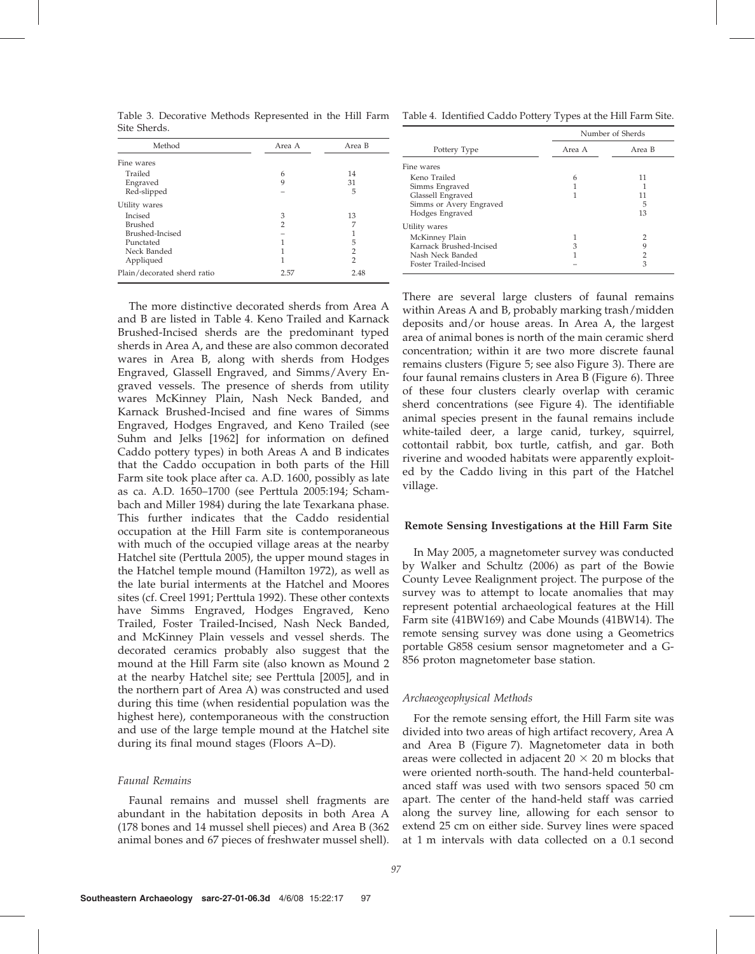| Site Sherds.                |                |                |  |
|-----------------------------|----------------|----------------|--|
| Method                      | Area A         | Area B         |  |
| Fine wares                  |                |                |  |
| Trailed                     | 6              | 14             |  |
| Engraved                    | 9              | 31             |  |
| Red-slipped                 |                | 5              |  |
| Utility wares               |                |                |  |
| <b>Incised</b>              | 3              | 13             |  |
| <b>Brushed</b>              | $\overline{2}$ | 7              |  |
| Brushed-Incised             |                |                |  |
| Punctated                   | 1              | 5              |  |
| Neck Banded                 | 1              | 2              |  |
| Appliqued                   | 1              | $\overline{2}$ |  |
| Plain/decorated sherd ratio | 2.57           | 2.48           |  |

Table 3. Decorative Methods Represented in the Hill Farm Table 4. Identified Caddo Pottery Types at the Hill Farm Site.

|                         | Number of Sherds |                |  |
|-------------------------|------------------|----------------|--|
| Pottery Type            | Area A           | Area B         |  |
| Fine wares              |                  |                |  |
| Keno Trailed            | 6                | 11             |  |
| Simms Engraved          |                  |                |  |
| Glassell Engraved       |                  | 11             |  |
| Simms or Avery Engraved |                  | 5              |  |
| Hodges Engraved         |                  | 13             |  |
| Utility wares           |                  |                |  |
| McKinney Plain          |                  | $\overline{2}$ |  |
| Karnack Brushed-Incised | 3                | 9              |  |
| Nash Neck Banded        |                  | 2              |  |
| Foster Trailed-Incised  |                  | 3              |  |

The more distinctive decorated sherds from Area A and B are listed in Table 4. Keno Trailed and Karnack Brushed-Incised sherds are the predominant typed sherds in Area A, and these are also common decorated wares in Area B, along with sherds from Hodges Engraved, Glassell Engraved, and Simms/Avery Engraved vessels. The presence of sherds from utility wares McKinney Plain, Nash Neck Banded, and Karnack Brushed-Incised and fine wares of Simms Engraved, Hodges Engraved, and Keno Trailed (see Suhm and Jelks [1962] for information on defined Caddo pottery types) in both Areas A and B indicates that the Caddo occupation in both parts of the Hill Farm site took place after ca. A.D. 1600, possibly as late as ca. A.D. 1650–1700 (see Perttula 2005:194; Schambach and Miller 1984) during the late Texarkana phase. This further indicates that the Caddo residential occupation at the Hill Farm site is contemporaneous with much of the occupied village areas at the nearby Hatchel site (Perttula 2005), the upper mound stages in the Hatchel temple mound (Hamilton 1972), as well as the late burial interments at the Hatchel and Moores sites (cf. Creel 1991; Perttula 1992). These other contexts have Simms Engraved, Hodges Engraved, Keno Trailed, Foster Trailed-Incised, Nash Neck Banded, and McKinney Plain vessels and vessel sherds. The decorated ceramics probably also suggest that the mound at the Hill Farm site (also known as Mound 2 at the nearby Hatchel site; see Perttula [2005], and in the northern part of Area A) was constructed and used during this time (when residential population was the highest here), contemporaneous with the construction and use of the large temple mound at the Hatchel site during its final mound stages (Floors A–D).

### Faunal Remains

Faunal remains and mussel shell fragments are abundant in the habitation deposits in both Area A (178 bones and 14 mussel shell pieces) and Area B (362 animal bones and 67 pieces of freshwater mussel shell). There are several large clusters of faunal remains within Areas A and B, probably marking trash/midden deposits and/or house areas. In Area A, the largest area of animal bones is north of the main ceramic sherd concentration; within it are two more discrete faunal remains clusters (Figure 5; see also Figure 3). There are four faunal remains clusters in Area B (Figure 6). Three of these four clusters clearly overlap with ceramic sherd concentrations (see Figure 4). The identifiable animal species present in the faunal remains include white-tailed deer, a large canid, turkey, squirrel, cottontail rabbit, box turtle, catfish, and gar. Both riverine and wooded habitats were apparently exploited by the Caddo living in this part of the Hatchel village.

#### Remote Sensing Investigations at the Hill Farm Site

In May 2005, a magnetometer survey was conducted by Walker and Schultz (2006) as part of the Bowie County Levee Realignment project. The purpose of the survey was to attempt to locate anomalies that may represent potential archaeological features at the Hill Farm site (41BW169) and Cabe Mounds (41BW14). The remote sensing survey was done using a Geometrics portable G858 cesium sensor magnetometer and a G-856 proton magnetometer base station.

### Archaeogeophysical Methods

For the remote sensing effort, the Hill Farm site was divided into two areas of high artifact recovery, Area A and Area B (Figure 7). Magnetometer data in both areas were collected in adjacent  $20 \times 20$  m blocks that were oriented north-south. The hand-held counterbalanced staff was used with two sensors spaced 50 cm apart. The center of the hand-held staff was carried along the survey line, allowing for each sensor to extend 25 cm on either side. Survey lines were spaced at 1 m intervals with data collected on a 0.1 second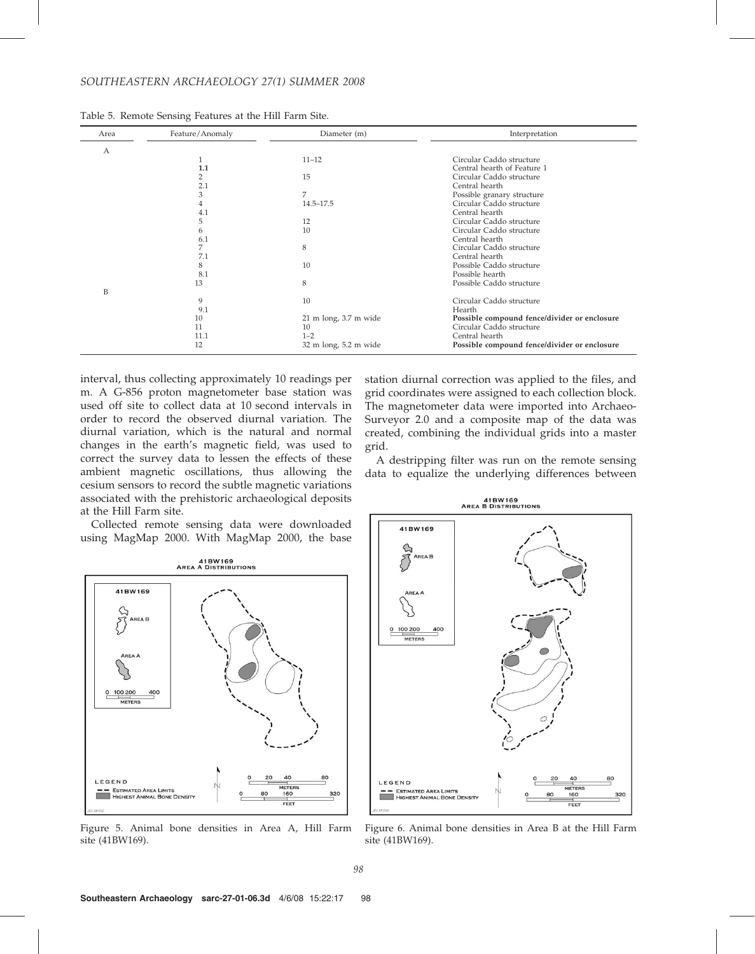# SOUTHEASTERN ARCHAEOLOGY 27(1) SUMMER 2008

| Area | Feature/Anomaly | Diameter (m)                    | Interpretation                               |
|------|-----------------|---------------------------------|----------------------------------------------|
| А    |                 |                                 |                                              |
|      | 1               | $11 - 12$                       | Circular Caddo structure                     |
|      | 1.1             |                                 | Central hearth of Feature 1                  |
|      | 2               | 15                              | Circular Caddo structure                     |
|      | 2.1             |                                 | Central hearth                               |
|      | 3               | 7                               | Possible granary structure                   |
|      | 4               | $14.5 - 17.5$                   | Circular Caddo structure                     |
|      | 4.1             |                                 | Central hearth                               |
|      | 5               | 12                              | Circular Caddo structure                     |
|      | 6               | 10                              | Circular Caddo structure                     |
|      | 6.1             |                                 | Central hearth                               |
|      | 7               | 8                               | Circular Caddo structure                     |
|      | 7.1             |                                 | Central hearth                               |
|      | 8               | 10                              | Possible Caddo structure                     |
|      | 8.1             |                                 | Possible hearth                              |
|      | 13              | 8                               | Possible Caddo structure                     |
| B    |                 |                                 |                                              |
|      | 9               | 10                              | Circular Caddo structure                     |
|      | 9.1             |                                 | Hearth                                       |
|      | 10              | $21 \text{ m}$ long, 3.7 m wide | Possible compound fence/divider or enclosure |
|      | 11              | 10                              | Circular Caddo structure                     |
|      | 11.1            | $1 - 2$                         | Central hearth                               |
|      | 12              | 32 m long, 5.2 m wide           | Possible compound fence/divider or enclosure |

interval, thus collecting approximately 10 readings per m. A G-856 proton magnetometer base station was used off site to collect data at 10 second intervals in order to record the observed diurnal variation. The diurnal variation, which is the natural and normal changes in the earth's magnetic field, was used to correct the survey data to lessen the effects of these ambient magnetic oscillations, thus allowing the cesium sensors to record the subtle magnetic variations associated with the prehistoric archaeological deposits at the Hill Farm site.

Collected remote sensing data were downloaded using MagMap 2000. With MagMap 2000, the base





station diurnal correction was applied to the files, and grid coordinates were assigned to each collection block. The magnetometer data were imported into Archaeo-Surveyor 2.0 and a composite map of the data was created, combining the individual grids into a master grid.

A destripping filter was run on the remote sensing data to equalize the underlying differences between

41BW169<br>AREA B DISTRIBUTIONS 41BW169  $0 100 200$ METERS LEGEND ETERS -- ESTIMATED AREA LIMITS<br>HIGHEST ANIMAL BONE DENSITY  $160$ 320 --<br>----Figure 6. Animal bone densities in Area B at the Hill Farm site (41BW169).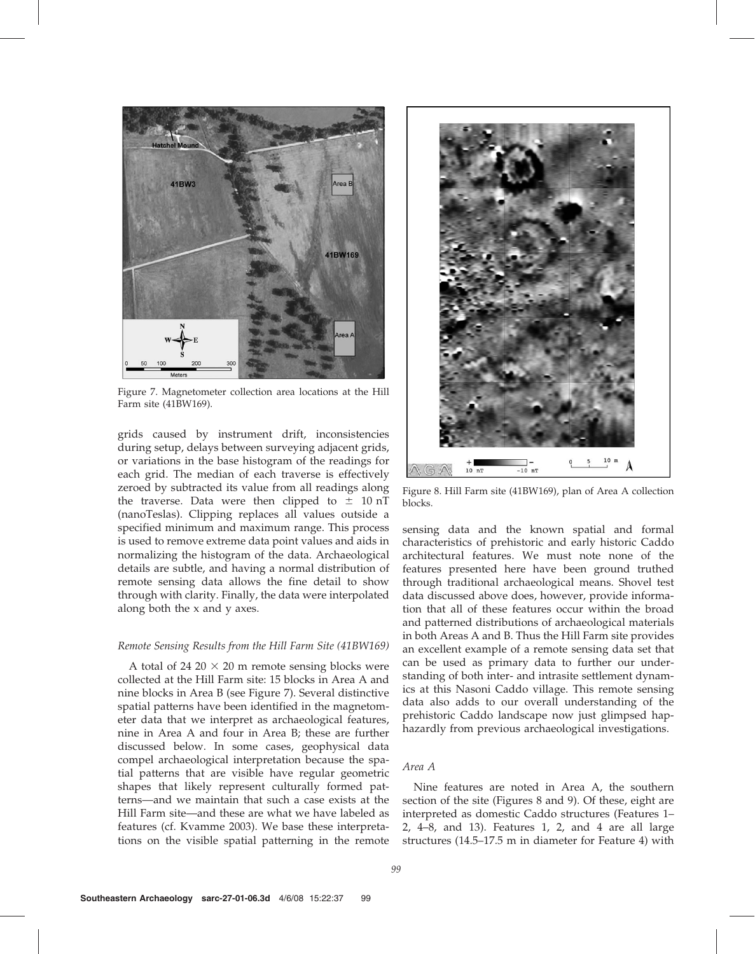

Figure 7. Magnetometer collection area locations at the Hill Farm site (41BW169).

grids caused by instrument drift, inconsistencies during setup, delays between surveying adjacent grids, or variations in the base histogram of the readings for each grid. The median of each traverse is effectively zeroed by subtracted its value from all readings along the traverse. Data were then clipped to  $\pm$  10 nT (nanoTeslas). Clipping replaces all values outside a specified minimum and maximum range. This process is used to remove extreme data point values and aids in normalizing the histogram of the data. Archaeological details are subtle, and having a normal distribution of remote sensing data allows the fine detail to show through with clarity. Finally, the data were interpolated along both the x and y axes.

### Remote Sensing Results from the Hill Farm Site (41BW169)

A total of 24 20  $\times$  20 m remote sensing blocks were collected at the Hill Farm site: 15 blocks in Area A and nine blocks in Area B (see Figure 7). Several distinctive spatial patterns have been identified in the magnetometer data that we interpret as archaeological features, nine in Area A and four in Area B; these are further discussed below. In some cases, geophysical data compel archaeological interpretation because the spatial patterns that are visible have regular geometric shapes that likely represent culturally formed patterns—and we maintain that such a case exists at the Hill Farm site—and these are what we have labeled as features (cf. Kvamme 2003). We base these interpretations on the visible spatial patterning in the remote



Figure 8. Hill Farm site (41BW169), plan of Area A collection blocks.

sensing data and the known spatial and formal characteristics of prehistoric and early historic Caddo architectural features. We must note none of the features presented here have been ground truthed through traditional archaeological means. Shovel test data discussed above does, however, provide information that all of these features occur within the broad and patterned distributions of archaeological materials in both Areas A and B. Thus the Hill Farm site provides an excellent example of a remote sensing data set that can be used as primary data to further our understanding of both inter- and intrasite settlement dynamics at this Nasoni Caddo village. This remote sensing data also adds to our overall understanding of the prehistoric Caddo landscape now just glimpsed haphazardly from previous archaeological investigations.

#### Area A

Nine features are noted in Area A, the southern section of the site (Figures 8 and 9). Of these, eight are interpreted as domestic Caddo structures (Features 1– 2, 4–8, and 13). Features 1, 2, and 4 are all large structures (14.5–17.5 m in diameter for Feature 4) with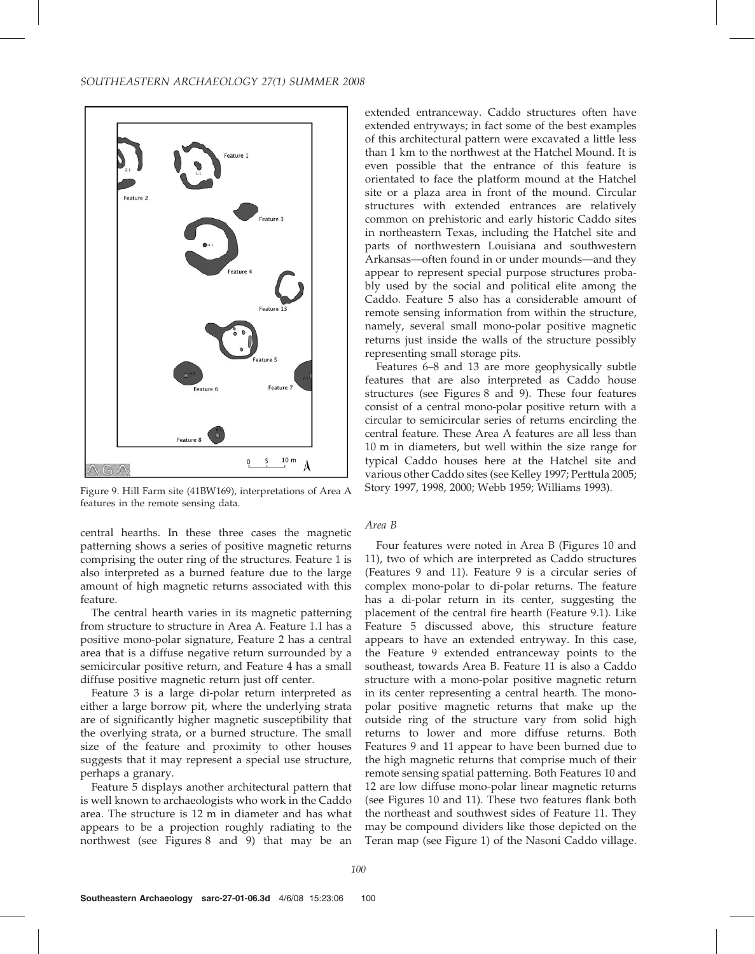

Figure 9. Hill Farm site (41BW169), interpretations of Area A features in the remote sensing data.

central hearths. In these three cases the magnetic patterning shows a series of positive magnetic returns comprising the outer ring of the structures. Feature 1 is also interpreted as a burned feature due to the large amount of high magnetic returns associated with this feature.

The central hearth varies in its magnetic patterning from structure to structure in Area A. Feature 1.1 has a positive mono-polar signature, Feature 2 has a central area that is a diffuse negative return surrounded by a semicircular positive return, and Feature 4 has a small diffuse positive magnetic return just off center.

Feature 3 is a large di-polar return interpreted as either a large borrow pit, where the underlying strata are of significantly higher magnetic susceptibility that the overlying strata, or a burned structure. The small size of the feature and proximity to other houses suggests that it may represent a special use structure, perhaps a granary.

Feature 5 displays another architectural pattern that is well known to archaeologists who work in the Caddo area. The structure is 12 m in diameter and has what appears to be a projection roughly radiating to the northwest (see Figures 8 and 9) that may be an extended entranceway. Caddo structures often have extended entryways; in fact some of the best examples of this architectural pattern were excavated a little less than 1 km to the northwest at the Hatchel Mound. It is even possible that the entrance of this feature is orientated to face the platform mound at the Hatchel site or a plaza area in front of the mound. Circular structures with extended entrances are relatively common on prehistoric and early historic Caddo sites in northeastern Texas, including the Hatchel site and parts of northwestern Louisiana and southwestern Arkansas—often found in or under mounds—and they appear to represent special purpose structures probably used by the social and political elite among the Caddo. Feature 5 also has a considerable amount of remote sensing information from within the structure, namely, several small mono-polar positive magnetic returns just inside the walls of the structure possibly representing small storage pits.

Features 6–8 and 13 are more geophysically subtle features that are also interpreted as Caddo house structures (see Figures 8 and 9). These four features consist of a central mono-polar positive return with a circular to semicircular series of returns encircling the central feature. These Area A features are all less than 10 m in diameters, but well within the size range for typical Caddo houses here at the Hatchel site and various other Caddo sites (see Kelley 1997; Perttula 2005; Story 1997, 1998, 2000; Webb 1959; Williams 1993).

# Area B

Four features were noted in Area B (Figures 10 and 11), two of which are interpreted as Caddo structures (Features 9 and 11). Feature 9 is a circular series of complex mono-polar to di-polar returns. The feature has a di-polar return in its center, suggesting the placement of the central fire hearth (Feature 9.1). Like Feature 5 discussed above, this structure feature appears to have an extended entryway. In this case, the Feature 9 extended entranceway points to the southeast, towards Area B. Feature 11 is also a Caddo structure with a mono-polar positive magnetic return in its center representing a central hearth. The monopolar positive magnetic returns that make up the outside ring of the structure vary from solid high returns to lower and more diffuse returns. Both Features 9 and 11 appear to have been burned due to the high magnetic returns that comprise much of their remote sensing spatial patterning. Both Features 10 and 12 are low diffuse mono-polar linear magnetic returns (see Figures 10 and 11). These two features flank both the northeast and southwest sides of Feature 11. They may be compound dividers like those depicted on the Teran map (see Figure 1) of the Nasoni Caddo village.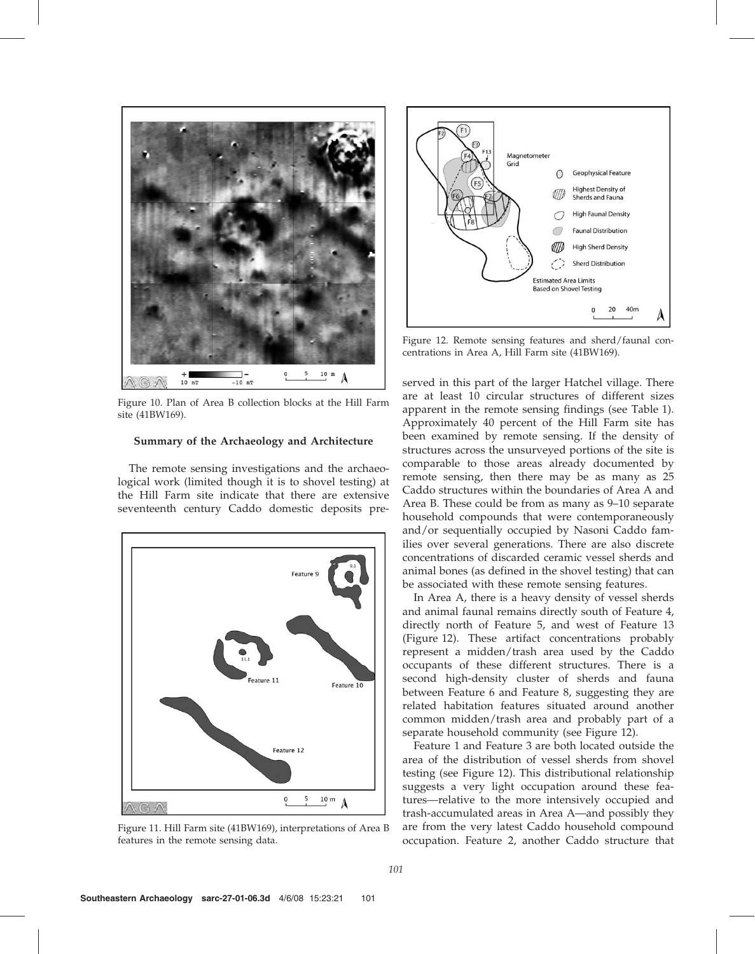

Figure 10. Plan of Area B collection blocks at the Hill Farm site (41BW169).

#### Summary of the Archaeology and Architecture

The remote sensing investigations and the archaeological work (limited though it is to shovel testing) at the Hill Farm site indicate that there are extensive seventeenth century Caddo domestic deposits pre-



Figure 11. Hill Farm site (41BW169), interpretations of Area B features in the remote sensing data.



Figure 12. Remote sensing features and sherd/faunal concentrations in Area A, Hill Farm site (41BW169).

served in this part of the larger Hatchel village. There are at least 10 circular structures of different sizes apparent in the remote sensing findings (see Table 1). Approximately 40 percent of the Hill Farm site has been examined by remote sensing. If the density of structures across the unsurveyed portions of the site is comparable to those areas already documented by remote sensing, then there may be as many as 25 Caddo structures within the boundaries of Area A and Area B. These could be from as many as 9–10 separate household compounds that were contemporaneously and/or sequentially occupied by Nasoni Caddo families over several generations. There are also discrete concentrations of discarded ceramic vessel sherds and animal bones (as defined in the shovel testing) that can be associated with these remote sensing features.

In Area A, there is a heavy density of vessel sherds and animal faunal remains directly south of Feature 4, directly north of Feature 5, and west of Feature 13 (Figure 12). These artifact concentrations probably represent a midden/trash area used by the Caddo occupants of these different structures. There is a second high-density cluster of sherds and fauna between Feature 6 and Feature 8, suggesting they are related habitation features situated around another common midden/trash area and probably part of a separate household community (see Figure 12).

Feature 1 and Feature 3 are both located outside the area of the distribution of vessel sherds from shovel testing (see Figure 12). This distributional relationship suggests a very light occupation around these features—relative to the more intensively occupied and trash-accumulated areas in Area A—and possibly they are from the very latest Caddo household compound occupation. Feature 2, another Caddo structure that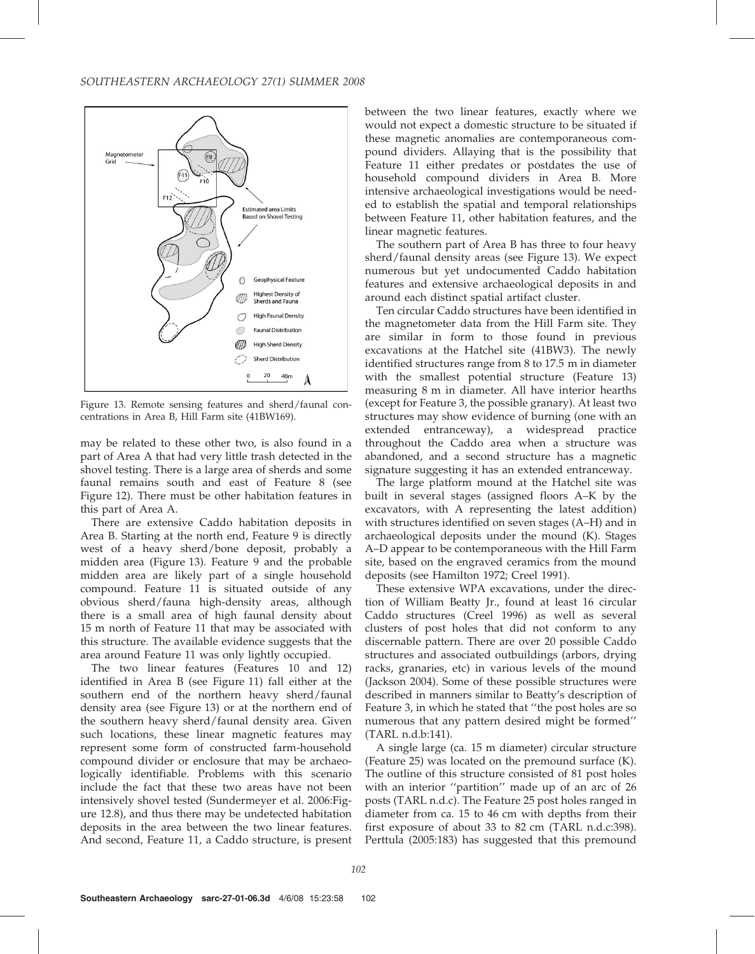

Figure 13. Remote sensing features and sherd/faunal concentrations in Area B, Hill Farm site (41BW169).

may be related to these other two, is also found in a part of Area A that had very little trash detected in the shovel testing. There is a large area of sherds and some faunal remains south and east of Feature 8 (see Figure 12). There must be other habitation features in this part of Area A.

There are extensive Caddo habitation deposits in Area B. Starting at the north end, Feature 9 is directly west of a heavy sherd/bone deposit, probably a midden area (Figure 13). Feature 9 and the probable midden area are likely part of a single household compound. Feature 11 is situated outside of any obvious sherd/fauna high-density areas, although there is a small area of high faunal density about 15 m north of Feature 11 that may be associated with this structure. The available evidence suggests that the area around Feature 11 was only lightly occupied.

The two linear features (Features 10 and 12) identified in Area B (see Figure 11) fall either at the southern end of the northern heavy sherd/faunal density area (see Figure 13) or at the northern end of the southern heavy sherd/faunal density area. Given such locations, these linear magnetic features may represent some form of constructed farm-household compound divider or enclosure that may be archaeologically identifiable. Problems with this scenario include the fact that these two areas have not been intensively shovel tested (Sundermeyer et al. 2006:Figure 12.8), and thus there may be undetected habitation deposits in the area between the two linear features. And second, Feature 11, a Caddo structure, is present between the two linear features, exactly where we would not expect a domestic structure to be situated if these magnetic anomalies are contemporaneous compound dividers. Allaying that is the possibility that Feature 11 either predates or postdates the use of household compound dividers in Area B. More intensive archaeological investigations would be needed to establish the spatial and temporal relationships between Feature 11, other habitation features, and the linear magnetic features.

The southern part of Area B has three to four heavy sherd/faunal density areas (see Figure 13). We expect numerous but yet undocumented Caddo habitation features and extensive archaeological deposits in and around each distinct spatial artifact cluster.

Ten circular Caddo structures have been identified in the magnetometer data from the Hill Farm site. They are similar in form to those found in previous excavations at the Hatchel site (41BW3). The newly identified structures range from 8 to 17.5 m in diameter with the smallest potential structure (Feature 13) measuring 8 m in diameter. All have interior hearths (except for Feature 3, the possible granary). At least two structures may show evidence of burning (one with an extended entranceway), a widespread practice throughout the Caddo area when a structure was abandoned, and a second structure has a magnetic signature suggesting it has an extended entranceway.

The large platform mound at the Hatchel site was built in several stages (assigned floors A–K by the excavators, with A representing the latest addition) with structures identified on seven stages (A–H) and in archaeological deposits under the mound (K). Stages A–D appear to be contemporaneous with the Hill Farm site, based on the engraved ceramics from the mound deposits (see Hamilton 1972; Creel 1991).

These extensive WPA excavations, under the direction of William Beatty Jr., found at least 16 circular Caddo structures (Creel 1996) as well as several clusters of post holes that did not conform to any discernable pattern. There are over 20 possible Caddo structures and associated outbuildings (arbors, drying racks, granaries, etc) in various levels of the mound (Jackson 2004). Some of these possible structures were described in manners similar to Beatty's description of Feature 3, in which he stated that ''the post holes are so numerous that any pattern desired might be formed'' (TARL n.d.b:141).

A single large (ca. 15 m diameter) circular structure (Feature 25) was located on the premound surface (K). The outline of this structure consisted of 81 post holes with an interior "partition" made up of an arc of 26 posts (TARL n.d.c). The Feature 25 post holes ranged in diameter from ca. 15 to 46 cm with depths from their first exposure of about 33 to 82 cm (TARL n.d.c:398). Perttula (2005:183) has suggested that this premound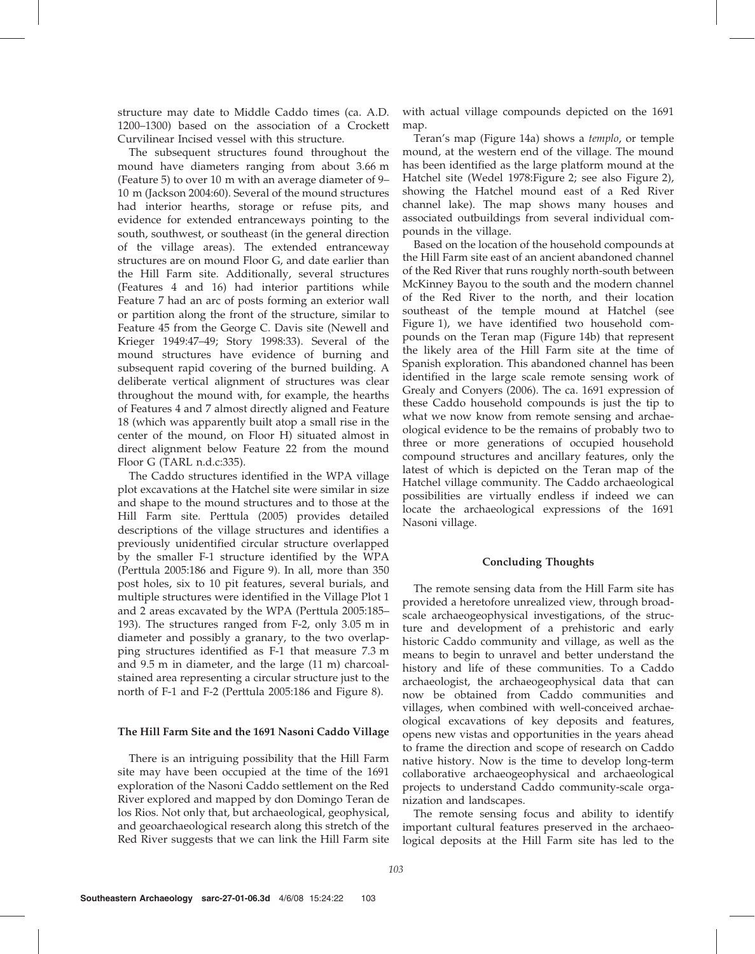structure may date to Middle Caddo times (ca. A.D. 1200–1300) based on the association of a Crockett Curvilinear Incised vessel with this structure.

The subsequent structures found throughout the mound have diameters ranging from about 3.66 m (Feature 5) to over 10 m with an average diameter of 9– 10 m (Jackson 2004:60). Several of the mound structures had interior hearths, storage or refuse pits, and evidence for extended entranceways pointing to the south, southwest, or southeast (in the general direction of the village areas). The extended entranceway structures are on mound Floor G, and date earlier than the Hill Farm site. Additionally, several structures (Features 4 and 16) had interior partitions while Feature 7 had an arc of posts forming an exterior wall or partition along the front of the structure, similar to Feature 45 from the George C. Davis site (Newell and Krieger 1949:47–49; Story 1998:33). Several of the mound structures have evidence of burning and subsequent rapid covering of the burned building. A deliberate vertical alignment of structures was clear throughout the mound with, for example, the hearths of Features 4 and 7 almost directly aligned and Feature 18 (which was apparently built atop a small rise in the center of the mound, on Floor H) situated almost in direct alignment below Feature 22 from the mound Floor G (TARL n.d.c:335).

The Caddo structures identified in the WPA village plot excavations at the Hatchel site were similar in size and shape to the mound structures and to those at the Hill Farm site. Perttula (2005) provides detailed descriptions of the village structures and identifies a previously unidentified circular structure overlapped by the smaller F-1 structure identified by the WPA (Perttula 2005:186 and Figure 9). In all, more than 350 post holes, six to 10 pit features, several burials, and multiple structures were identified in the Village Plot 1 and 2 areas excavated by the WPA (Perttula 2005:185– 193). The structures ranged from F-2, only 3.05 m in diameter and possibly a granary, to the two overlapping structures identified as F-1 that measure 7.3 m and 9.5 m in diameter, and the large (11 m) charcoalstained area representing a circular structure just to the north of F-1 and F-2 (Perttula 2005:186 and Figure 8).

### The Hill Farm Site and the 1691 Nasoni Caddo Village

There is an intriguing possibility that the Hill Farm site may have been occupied at the time of the 1691 exploration of the Nasoni Caddo settlement on the Red River explored and mapped by don Domingo Teran de los Rios. Not only that, but archaeological, geophysical, and geoarchaeological research along this stretch of the Red River suggests that we can link the Hill Farm site

with actual village compounds depicted on the 1691 map.

Teran's map (Figure 14a) shows a templo, or temple mound, at the western end of the village. The mound has been identified as the large platform mound at the Hatchel site (Wedel 1978:Figure 2; see also Figure 2), showing the Hatchel mound east of a Red River channel lake). The map shows many houses and associated outbuildings from several individual compounds in the village.

Based on the location of the household compounds at the Hill Farm site east of an ancient abandoned channel of the Red River that runs roughly north-south between McKinney Bayou to the south and the modern channel of the Red River to the north, and their location southeast of the temple mound at Hatchel (see Figure 1), we have identified two household compounds on the Teran map (Figure 14b) that represent the likely area of the Hill Farm site at the time of Spanish exploration. This abandoned channel has been identified in the large scale remote sensing work of Grealy and Conyers (2006). The ca. 1691 expression of these Caddo household compounds is just the tip to what we now know from remote sensing and archaeological evidence to be the remains of probably two to three or more generations of occupied household compound structures and ancillary features, only the latest of which is depicted on the Teran map of the Hatchel village community. The Caddo archaeological possibilities are virtually endless if indeed we can locate the archaeological expressions of the 1691 Nasoni village.

### Concluding Thoughts

The remote sensing data from the Hill Farm site has provided a heretofore unrealized view, through broadscale archaeogeophysical investigations, of the structure and development of a prehistoric and early historic Caddo community and village, as well as the means to begin to unravel and better understand the history and life of these communities. To a Caddo archaeologist, the archaeogeophysical data that can now be obtained from Caddo communities and villages, when combined with well-conceived archaeological excavations of key deposits and features, opens new vistas and opportunities in the years ahead to frame the direction and scope of research on Caddo native history. Now is the time to develop long-term collaborative archaeogeophysical and archaeological projects to understand Caddo community-scale organization and landscapes.

The remote sensing focus and ability to identify important cultural features preserved in the archaeological deposits at the Hill Farm site has led to the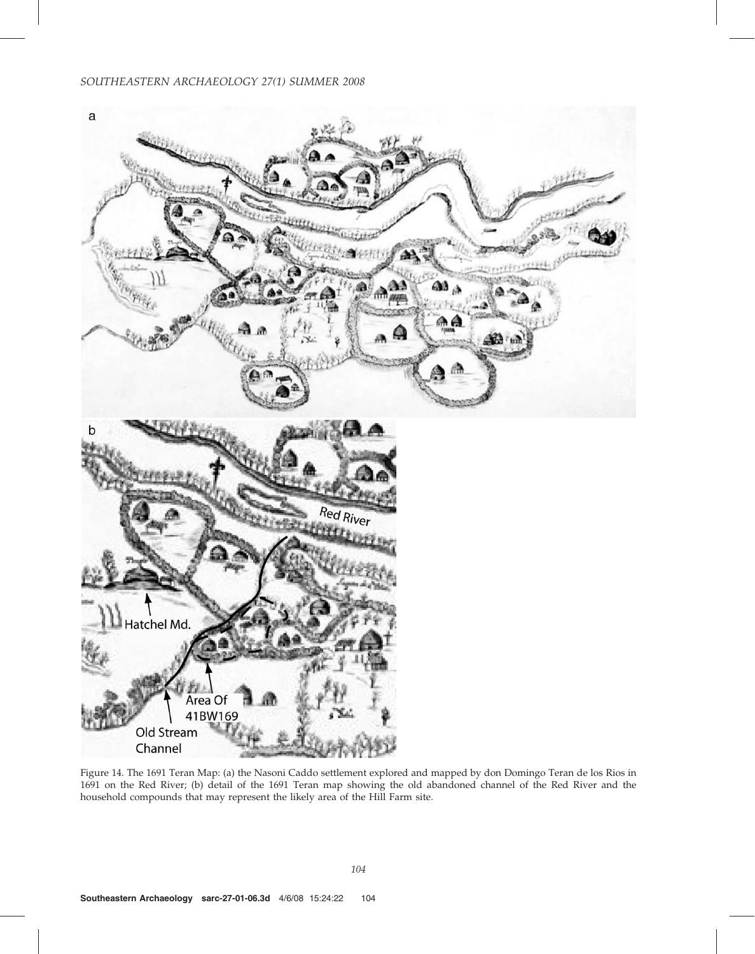# SOUTHEASTERN ARCHAEOLOGY 27(1) SUMMER 2008



Figure 14. The 1691 Teran Map: (a) the Nasoni Caddo settlement explored and mapped by don Domingo Teran de los Rios in 1691 on the Red River; (b) detail of the 1691 Teran map showing the old abandoned channel of the Red River and the household compounds that may represent the likely area of the Hill Farm site.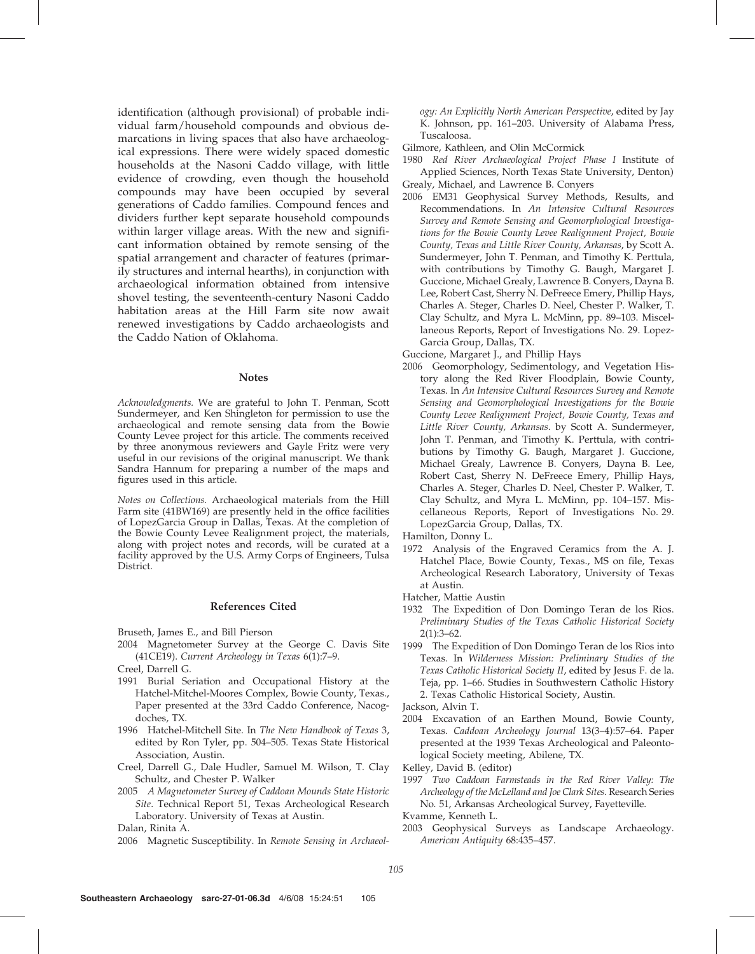identification (although provisional) of probable individual farm/household compounds and obvious demarcations in living spaces that also have archaeological expressions. There were widely spaced domestic households at the Nasoni Caddo village, with little evidence of crowding, even though the household compounds may have been occupied by several generations of Caddo families. Compound fences and dividers further kept separate household compounds within larger village areas. With the new and significant information obtained by remote sensing of the spatial arrangement and character of features (primarily structures and internal hearths), in conjunction with archaeological information obtained from intensive shovel testing, the seventeenth-century Nasoni Caddo habitation areas at the Hill Farm site now await renewed investigations by Caddo archaeologists and the Caddo Nation of Oklahoma.

#### Notes

Acknowledgments. We are grateful to John T. Penman, Scott Sundermeyer, and Ken Shingleton for permission to use the archaeological and remote sensing data from the Bowie County Levee project for this article. The comments received by three anonymous reviewers and Gayle Fritz were very useful in our revisions of the original manuscript. We thank Sandra Hannum for preparing a number of the maps and figures used in this article.

Notes on Collections. Archaeological materials from the Hill Farm site (41BW169) are presently held in the office facilities of LopezGarcia Group in Dallas, Texas. At the completion of the Bowie County Levee Realignment project, the materials, along with project notes and records, will be curated at a facility approved by the U.S. Army Corps of Engineers, Tulsa District.

#### References Cited

Bruseth, James E., and Bill Pierson

2004 Magnetometer Survey at the George C. Davis Site (41CE19). Current Archeology in Texas 6(1):7–9.

Creel, Darrell G.

- 1991 Burial Seriation and Occupational History at the Hatchel-Mitchel-Moores Complex, Bowie County, Texas., Paper presented at the 33rd Caddo Conference, Nacogdoches, TX.
- 1996 Hatchel-Mitchell Site. In The New Handbook of Texas 3, edited by Ron Tyler, pp. 504–505. Texas State Historical Association, Austin.
- Creel, Darrell G., Dale Hudler, Samuel M. Wilson, T. Clay Schultz, and Chester P. Walker
- 2005 A Magnetometer Survey of Caddoan Mounds State Historic Site. Technical Report 51, Texas Archeological Research Laboratory. University of Texas at Austin.

Dalan, Rinita A.

2006 Magnetic Susceptibility. In Remote Sensing in Archaeol-

ogy: An Explicitly North American Perspective, edited by Jay K. Johnson, pp. 161–203. University of Alabama Press, Tuscaloosa.

Gilmore, Kathleen, and Olin McCormick

- 1980 Red River Archaeological Project Phase I Institute of Applied Sciences, North Texas State University, Denton) Grealy, Michael, and Lawrence B. Conyers
- 2006 EM31 Geophysical Survey Methods, Results, and Recommendations. In An Intensive Cultural Resources Survey and Remote Sensing and Geomorphological Investigations for the Bowie County Levee Realignment Project, Bowie County, Texas and Little River County, Arkansas, by Scott A. Sundermeyer, John T. Penman, and Timothy K. Perttula, with contributions by Timothy G. Baugh, Margaret J. Guccione, Michael Grealy, Lawrence B. Conyers, Dayna B. Lee, Robert Cast, Sherry N. DeFreece Emery, Phillip Hays, Charles A. Steger, Charles D. Neel, Chester P. Walker, T. Clay Schultz, and Myra L. McMinn, pp. 89–103. Miscellaneous Reports, Report of Investigations No. 29. Lopez-Garcia Group, Dallas, TX.

Guccione, Margaret J., and Phillip Hays

2006 Geomorphology, Sedimentology, and Vegetation History along the Red River Floodplain, Bowie County, Texas. In An Intensive Cultural Resources Survey and Remote Sensing and Geomorphological Investigations for the Bowie County Levee Realignment Project, Bowie County, Texas and Little River County, Arkansas. by Scott A. Sundermeyer, John T. Penman, and Timothy K. Perttula, with contributions by Timothy G. Baugh, Margaret J. Guccione, Michael Grealy, Lawrence B. Conyers, Dayna B. Lee, Robert Cast, Sherry N. DeFreece Emery, Phillip Hays, Charles A. Steger, Charles D. Neel, Chester P. Walker, T. Clay Schultz, and Myra L. McMinn, pp. 104–157. Miscellaneous Reports, Report of Investigations No. 29. LopezGarcia Group, Dallas, TX.

Hamilton, Donny L.

1972 Analysis of the Engraved Ceramics from the A. J. Hatchel Place, Bowie County, Texas., MS on file, Texas Archeological Research Laboratory, University of Texas at Austin.

Hatcher, Mattie Austin

- 1932 The Expedition of Don Domingo Teran de los Rios. Preliminary Studies of the Texas Catholic Historical Society  $2(1):3-62.$
- 1999 The Expedition of Don Domingo Teran de los Rios into Texas. In Wilderness Mission: Preliminary Studies of the Texas Catholic Historical Society II, edited by Jesus F. de la. Teja, pp. 1–66. Studies in Southwestern Catholic History 2. Texas Catholic Historical Society, Austin.

Jackson, Alvin T.

- 2004 Excavation of an Earthen Mound, Bowie County, Texas. Caddoan Archeology Journal 13(3–4):57–64. Paper presented at the 1939 Texas Archeological and Paleontological Society meeting, Abilene, TX.
- Kelley, David B. (editor)
- 1997 Two Caddoan Farmsteads in the Red River Valley: The Archeology of the McLelland and Joe Clark Sites. Research Series No. 51, Arkansas Archeological Survey, Fayetteville.

Kvamme, Kenneth L.

2003 Geophysical Surveys as Landscape Archaeology. American Antiquity 68:435–457.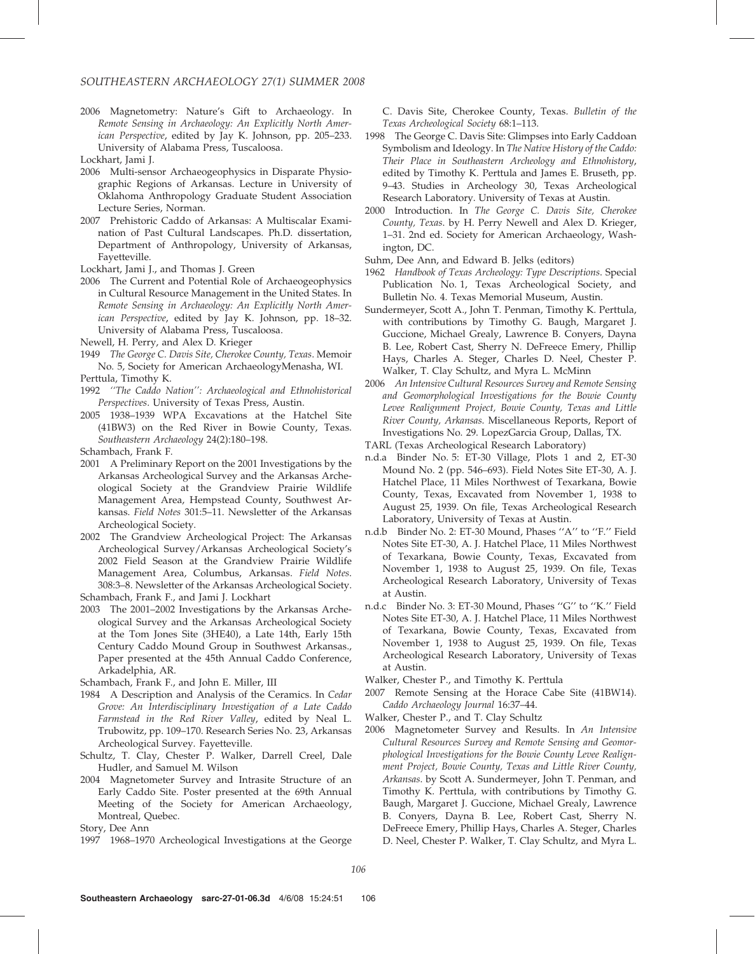2006 Magnetometry: Nature's Gift to Archaeology. In Remote Sensing in Archaeology: An Explicitly North American Perspective, edited by Jay K. Johnson, pp. 205–233. University of Alabama Press, Tuscaloosa.

Lockhart, Jami J.

- 2006 Multi-sensor Archaeogeophysics in Disparate Physiographic Regions of Arkansas. Lecture in University of Oklahoma Anthropology Graduate Student Association Lecture Series, Norman.
- 2007 Prehistoric Caddo of Arkansas: A Multiscalar Examination of Past Cultural Landscapes. Ph.D. dissertation, Department of Anthropology, University of Arkansas, Fayetteville.

Lockhart, Jami J., and Thomas J. Green

2006 The Current and Potential Role of Archaeogeophysics in Cultural Resource Management in the United States. In Remote Sensing in Archaeology: An Explicitly North American Perspective, edited by Jay K. Johnson, pp. 18–32. University of Alabama Press, Tuscaloosa.

Newell, H. Perry, and Alex D. Krieger

- 1949 The George C. Davis Site, Cherokee County, Texas. Memoir No. 5, Society for American ArchaeologyMenasha, WI. Perttula, Timothy K.
- 1992 ''The Caddo Nation'': Archaeological and Ethnohistorical Perspectives. University of Texas Press, Austin.
- 2005 1938–1939 WPA Excavations at the Hatchel Site (41BW3) on the Red River in Bowie County, Texas. Southeastern Archaeology 24(2):180–198.

Schambach, Frank F.

- 2001 A Preliminary Report on the 2001 Investigations by the Arkansas Archeological Survey and the Arkansas Archeological Society at the Grandview Prairie Wildlife Management Area, Hempstead County, Southwest Arkansas. Field Notes 301:5–11. Newsletter of the Arkansas Archeological Society.
- 2002 The Grandview Archeological Project: The Arkansas Archeological Survey/Arkansas Archeological Society's 2002 Field Season at the Grandview Prairie Wildlife Management Area, Columbus, Arkansas. Field Notes. 308:3–8. Newsletter of the Arkansas Archeological Society.

Schambach, Frank F., and Jami J. Lockhart

2003 The 2001–2002 Investigations by the Arkansas Archeological Survey and the Arkansas Archeological Society at the Tom Jones Site (3HE40), a Late 14th, Early 15th Century Caddo Mound Group in Southwest Arkansas., Paper presented at the 45th Annual Caddo Conference, Arkadelphia, AR.

Schambach, Frank F., and John E. Miller, III

- 1984 A Description and Analysis of the Ceramics. In Cedar Grove: An Interdisciplinary Investigation of a Late Caddo Farmstead in the Red River Valley, edited by Neal L. Trubowitz, pp. 109–170. Research Series No. 23, Arkansas Archeological Survey. Fayetteville.
- Schultz, T. Clay, Chester P. Walker, Darrell Creel, Dale Hudler, and Samuel M. Wilson
- 2004 Magnetometer Survey and Intrasite Structure of an Early Caddo Site. Poster presented at the 69th Annual Meeting of the Society for American Archaeology, Montreal, Quebec.

Story, Dee Ann

1997 1968–1970 Archeological Investigations at the George

C. Davis Site, Cherokee County, Texas. Bulletin of the Texas Archeological Society 68:1–113.

- 1998 The George C. Davis Site: Glimpses into Early Caddoan Symbolism and Ideology. In The Native History of the Caddo: Their Place in Southeastern Archeology and Ethnohistory, edited by Timothy K. Perttula and James E. Bruseth, pp. 9–43. Studies in Archeology 30, Texas Archeological Research Laboratory. University of Texas at Austin.
- 2000 Introduction. In The George C. Davis Site, Cherokee County, Texas. by H. Perry Newell and Alex D. Krieger, 1–31. 2nd ed. Society for American Archaeology, Washington, DC.

Suhm, Dee Ann, and Edward B. Jelks (editors)

- 1962 Handbook of Texas Archeology: Type Descriptions. Special Publication No. 1, Texas Archeological Society, and Bulletin No. 4. Texas Memorial Museum, Austin.
- Sundermeyer, Scott A., John T. Penman, Timothy K. Perttula, with contributions by Timothy G. Baugh, Margaret J. Guccione, Michael Grealy, Lawrence B. Conyers, Dayna B. Lee, Robert Cast, Sherry N. DeFreece Emery, Phillip Hays, Charles A. Steger, Charles D. Neel, Chester P. Walker, T. Clay Schultz, and Myra L. McMinn
- 2006 An Intensive Cultural Resources Survey and Remote Sensing and Geomorphological Investigations for the Bowie County Levee Realignment Project, Bowie County, Texas and Little River County, Arkansas. Miscellaneous Reports, Report of Investigations No. 29. LopezGarcia Group, Dallas, TX.

TARL (Texas Archeological Research Laboratory)

- n.d.a Binder No. 5: ET-30 Village, Plots 1 and 2, ET-30 Mound No. 2 (pp. 546–693). Field Notes Site ET-30, A. J. Hatchel Place, 11 Miles Northwest of Texarkana, Bowie County, Texas, Excavated from November 1, 1938 to August 25, 1939. On file, Texas Archeological Research Laboratory, University of Texas at Austin.
- n.d.b Binder No. 2: ET-30 Mound, Phases ''A'' to ''F.'' Field Notes Site ET-30, A. J. Hatchel Place, 11 Miles Northwest of Texarkana, Bowie County, Texas, Excavated from November 1, 1938 to August 25, 1939. On file, Texas Archeological Research Laboratory, University of Texas at Austin.
- n.d.c Binder No. 3: ET-30 Mound, Phases ''G'' to ''K.'' Field Notes Site ET-30, A. J. Hatchel Place, 11 Miles Northwest of Texarkana, Bowie County, Texas, Excavated from November 1, 1938 to August 25, 1939. On file, Texas Archeological Research Laboratory, University of Texas at Austin.

Walker, Chester P., and Timothy K. Perttula

- 2007 Remote Sensing at the Horace Cabe Site (41BW14). Caddo Archaeology Journal 16:37–44.
- Walker, Chester P., and T. Clay Schultz
- 2006 Magnetometer Survey and Results. In An Intensive Cultural Resources Survey and Remote Sensing and Geomorphological Investigations for the Bowie County Levee Realignment Project, Bowie County, Texas and Little River County, Arkansas. by Scott A. Sundermeyer, John T. Penman, and Timothy K. Perttula, with contributions by Timothy G. Baugh, Margaret J. Guccione, Michael Grealy, Lawrence B. Conyers, Dayna B. Lee, Robert Cast, Sherry N. DeFreece Emery, Phillip Hays, Charles A. Steger, Charles D. Neel, Chester P. Walker, T. Clay Schultz, and Myra L.